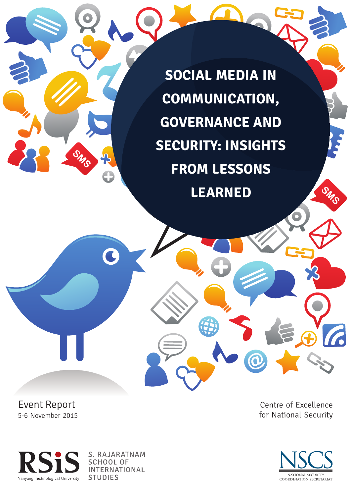**SOCIAL MEDIA IN COMMUNICATION, GOVERNANCE AND SECURITY: INSIGHTS FROM LESSONS LEARNED**

Event Report 5-6 November 2015

Centre of Excellence for National Security





S. RAJARATNAM **SCHOOL OF INTERNATIONAL STUDIES** 

C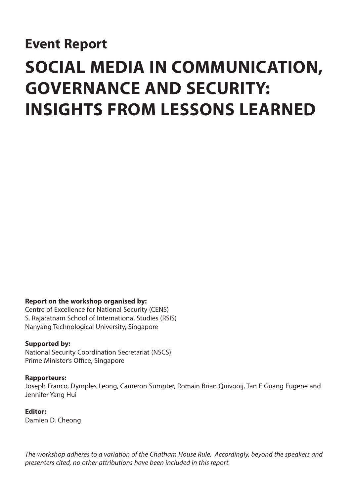# **Event Report**

# **SOCIAL MEDIA IN COMMUNICATION, GOVERNANCE AND SECURITY: INSIGHTS FROM LESSONS LEARNED**

## **Report on the workshop organised by:**

Centre of Excellence for National Security (CENS) S. Rajaratnam School of International Studies (RSIS) Nanyang Technological University, Singapore

## **Supported by:**

National Security Coordination Secretariat (NSCS) Prime Minister's Office, Singapore

#### **Rapporteurs:**

Joseph Franco, Dymples Leong, Cameron Sumpter, Romain Brian Quivooij, Tan E Guang Eugene and Jennifer Yang Hui

## **Editor:**

Damien D. Cheong

*The workshop adheres to a variation of the Chatham House Rule. Accordingly, beyond the speakers and presenters cited, no other attributions have been included in this report.*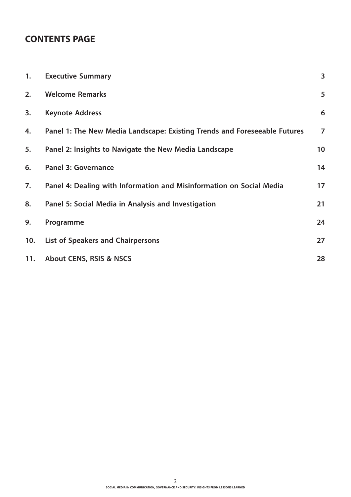# **CONTENTS PAGE**

| 1.  | <b>Executive Summary</b>                                                  | 3              |
|-----|---------------------------------------------------------------------------|----------------|
| 2.  | <b>Welcome Remarks</b>                                                    | 5              |
| 3.  | <b>Keynote Address</b>                                                    | 6              |
| 4.  | Panel 1: The New Media Landscape: Existing Trends and Foreseeable Futures | $\overline{7}$ |
| 5.  | Panel 2: Insights to Navigate the New Media Landscape                     | 10             |
| 6.  | <b>Panel 3: Governance</b>                                                | 14             |
| 7.  | Panel 4: Dealing with Information and Misinformation on Social Media      | 17             |
| 8.  | Panel 5: Social Media in Analysis and Investigation                       | 21             |
| 9.  | Programme                                                                 | 24             |
| 10. | List of Speakers and Chairpersons                                         | 27             |
| 11. | <b>About CENS, RSIS &amp; NSCS</b>                                        | 28             |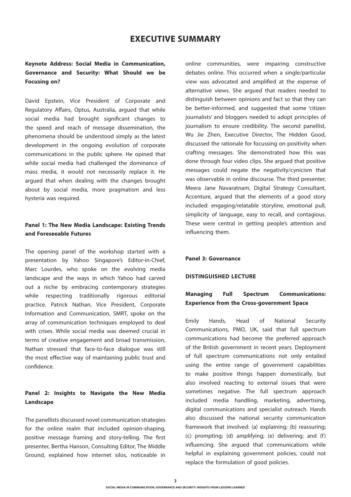## **EXECUTIVE SUMMARY**

## **Keynote Address: Social Media in Communication, Governance and Security: What Should we be Focusing on?**

David Epstein, Vice President of Corporate and Regulatory Affairs, Optus, Australia, argued that while social media had brought significant changes to the speed and reach of message dissemination, the phenomena should be understood simply as the latest development in the ongoing evolution of corporate communications in the public sphere. He opined that while social media had challenged the dominance of mass media, it would not necessarily replace it. He argued that when dealing with the changes brought about by social media, more pragmatism and less hysteria was required.

## **Panel 1: The New Media Landscape: Existing Trends and Foreseeable Futures**

The opening panel of the workshop started with a presentation by Yahoo Singapore's Editor-in-Chief, Marc Lourdes, who spoke on the evolving media landscape and the ways in which Yahoo had carved out a niche by embracing contemporary strategies while respecting traditionally rigorous editorial practice. Patrick Nathan, Vice President, Corporate Information and Communication, SMRT, spoke on the array of communication techniques employed to deal with crises. While social media was deemed crucial in terms of creative engagement and broad transmission, Nathan stressed that face-to-face dialogue was still the most effective way of maintaining public trust and confidence.

## **Panel 2: Insights to Navigate the New Media Landscape**

The panellists discussed novel communication strategies for the online realm that included opinion-shaping, positive message framing and story-telling. The first presenter, Bertha Hanson, Consulting Editor, The Middle Ground, explained how internet silos, noticeable in online communities, were impairing constructive debates online. This occurred when a single/particular view was advocated and amplified at the expense of alternative views. She argued that readers needed to distinguish between opinions and fact so that they can be better-informed, and suggested that some 'citizen journalists' and bloggers needed to adopt principles of journalism to ensure credibility. The second panellist, Wu Jie Zhen, Executive Director, The Hidden Good, discussed the rationale for focussing on positivity when crafting messages. She demonstrated how this was done through four video clips. She argued that positive messages could negate the negativity/cynicism that was observable in online discourse. The third presenter, Meera Jane Navaratnam, Digital Strategy Consultant, Accenture, argued that the elements of a good story included: engaging/relatable storyline, emotional pull, simplicity of language, easy to recall, and contagious. These were central in getting people's attention and influencing them.

#### **Panel 3: Governance**

#### **DISTINGUISHED LECTURE**

## **Managing Full Spectrum Communications: Experience from the Cross-government Space**

Emily Hands, Head of National Security Communications, PMO, UK, said that full spectrum communications had become the preferred approach of the British government in recent years. Deployment of full spectrum communications not only entailed using the entire range of government capabilities to make positive things happen domestically, but also involved reacting to external issues that were sometimes negative. The full spectrum approach included media handling, marketing, advertising, digital communications and specialist outreach. Hands also discussed the national security communication framework that involved: (a) explaining; (b) reassuring; (c) prompting; (d) amplifying; (e) delivering; and  $(f)$ influencing. She argued that communications while helpful in explaining government policies, could not replace the formulation of good policies.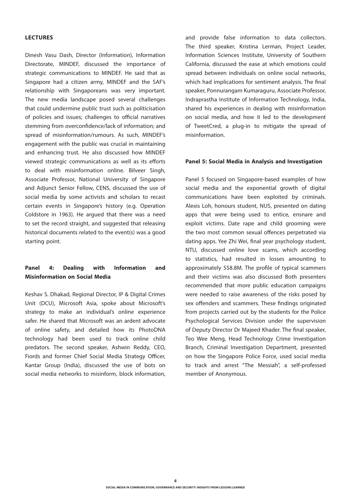#### **LECTURES**

Dinesh Vasu Dash, Director (Information), Information Directorate, MINDEF, discussed the importance of strategic communications to MINDEF. He said that as Singapore had a citizen army, MINDEF and the SAF's relationship with Singaporeans was very important. The new media landscape posed several challenges that could undermine public trust such as politicisation of policies and issues; challenges to official narratives stemming from overconfidence/lack of information; and spread of misinformation/rumours. As such, MINDEF's engagement with the public was crucial in maintaining and enhancing trust. He also discussed how MINDEF viewed strategic communications as well as its efforts to deal with misinformation online. Bilveer Singh, Associate Professor, National University of Singapore and Adjunct Senior Fellow, CENS, discussed the use of social media by some activists and scholars to recast certain events in Singapore's history (e.g. Operation Coldstore in 1963). He argued that there was a need to set the record straight, and suggested that releasing historical documents related to the event(s) was a good starting point.

## **Panel 4: Dealing with Information and Misinformation on Social Media**

Keshav S. Dhakad, Regional Director, IP & Digital Crimes Unit (DCU), Microsoft Asia, spoke about Microsoft's strategy to make an individual's online experience safer. He shared that Microsoft was an ardent advocate of online safety, and detailed how its PhotoDNA technology had been used to track online child predators. The second speaker, Ashwin Reddy, CEO, Fiords and former Chief Social Media Strategy Officer, Kantar Group (India), discussed the use of bots on social media networks to misinform, block information, and provide false information to data collectors. The third speaker, Kristina Lerman, Project Leader, Information Sciences Institute, University of Southern California, discussed the ease at which emotions could spread between individuals on online social networks, which had implications for sentiment analysis. The final speaker, Ponnurangam Kumaraguru, Associate Professor, Indraprastha Institute of Information Technology, India, shared his experiences in dealing with misinformation on social media, and how it led to the development of TweetCred, a plug-in to mitigate the spread of misinformation.

#### **Panel 5: Social Media in Analysis and Investigation**

Panel 5 focused on Singapore-based examples of how social media and the exponential growth of digital communications have been exploited by criminals. Alexis Loh, honours student, NUS, presented on dating apps that were being used to entice, ensnare and exploit victims. Date rape and child grooming were the two most common sexual offences perpetrated via dating apps. Yee Zhi Wei, final year psychology student, NTU, discussed online love scams, which according to statistics, had resulted in losses amounting to approximately S\$8.8M. The profile of typical scammers and their victims was also discussed Both presenters recommended that more public education campaigns were needed to raise awareness of the risks posed by sex offenders and scammers. These findings originated from projects carried out by the students for the Police Psychological Services Division under the supervision of Deputy Director Dr Majeed Khader. The final speaker, Teo Wee Meng, Head Technology Crime Investigation Branch, Criminal Investigation Department, presented on how the Singapore Police Force, used social media to track and arrest "The Messiah", a self-professed member of Anonymous.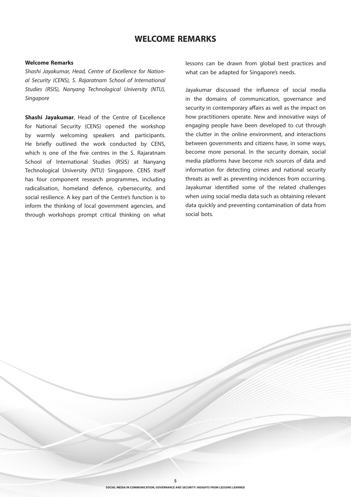## **WELCOME REMARKS**

#### **Welcome Remarks**

*Shashi Jayakumar, Head, Centre of Excellence for National Security (CENS), S. Rajaratnam School of International Studies (RSIS), Nanyang Technological University (NTU), Singapore*

**Shashi Jayakumar**, Head of the Centre of Excellence for National Security (CENS) opened the workshop by warmly welcoming speakers and participants. He briefly outlined the work conducted by CENS, which is one of the five centres in the S. Rajaratnam School of International Studies (RSIS) at Nanyang Technological University (NTU) Singapore. CENS itself has four component research programmes, including radicalisation, homeland defence, cybersecurity, and social resilience. A key part of the Centre's function is to inform the thinking of local government agencies, and through workshops prompt critical thinking on what

lessons can be drawn from global best practices and what can be adapted for Singapore's needs.

Jayakumar discussed the influence of social media in the domains of communication, governance and security in contemporary affairs as well as the impact on how practitioners operate. New and innovative ways of engaging people have been developed to cut through the clutter in the online environment, and interactions between governments and citizens have, in some ways, become more personal. In the security domain, social media platforms have become rich sources of data and information for detecting crimes and national security threats as well as preventing incidences from occurring. Jayakumar identified some of the related challenges when using social media data such as obtaining relevant data quickly and preventing contamination of data from social bots.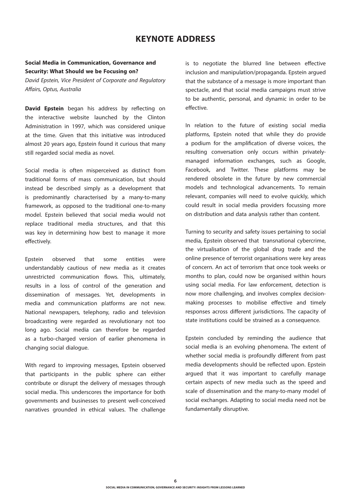## **KEYNOTE ADDRESS**

## **Social Media in Communication, Governance and Security: What Should we be Focusing on?**

*David Epstein, Vice President of Corporate and Regulatory Affairs, Optus, Australia*

**David Epstein** began his address by reflecting on the interactive website launched by the Clinton Administration in 1997, which was considered unique at the time. Given that this initiative was introduced almost 20 years ago, Epstein found it curious that many still regarded social media as novel.

Social media is often misperceived as distinct from traditional forms of mass communication, but should instead be described simply as a development that is predominantly characterised by a many-to-many framework, as opposed to the traditional one-to-many model. Epstein believed that social media would not replace traditional media structures, and that this was key in determining how best to manage it more effectively.

Epstein observed that some entities were understandably cautious of new media as it creates unrestricted communication flows. This, ultimately, results in a loss of control of the generation and dissemination of messages. Yet, developments in media and communication platforms are not new. National newspapers, telephony, radio and television broadcasting were regarded as revolutionary not too long ago. Social media can therefore be regarded as a turbo-charged version of earlier phenomena in changing social dialogue.

With regard to improving messages, Epstein observed that participants in the public sphere can either contribute or disrupt the delivery of messages through social media. This underscores the importance for both governments and businesses to present well-conceived narratives grounded in ethical values. The challenge is to negotiate the blurred line between effective inclusion and manipulation/propaganda. Epstein argued that the substance of a message is more important than spectacle, and that social media campaigns must strive to be authentic, personal, and dynamic in order to be effective.

In relation to the future of existing social media platforms, Epstein noted that while they do provide a podium for the amplification of diverse voices, the resulting conversation only occurs within privatelymanaged information exchanges, such as Google, Facebook, and Twitter. These platforms may be rendered obsolete in the future by new commercial models and technological advancements. To remain relevant, companies will need to evolve quickly, which could result in social media providers focussing more on distribution and data analysis rather than content.

Turning to security and safety issues pertaining to social media, Epstein observed that transnational cybercrime, the virtualisation of the global drug trade and the online presence of terrorist organisations were key areas of concern. An act of terrorism that once took weeks or months to plan, could now be organised within hours using social media. For law enforcement, detection is now more challenging, and involves complex decisionmaking processes to mobilise effective and timely responses across different jurisdictions. The capacity of state institutions could be strained as a consequence.

Epstein concluded by reminding the audience that social media is an evolving phenomena. The extent of whether social media is profoundly different from past media developments should be reflected upon. Epstein argued that it was important to carefully manage certain aspects of new media such as the speed and scale of dissemination and the many-to-many model of social exchanges. Adapting to social media need not be fundamentally disruptive.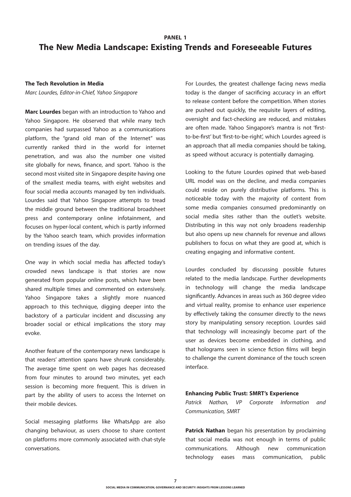## **PANEL 1 The New Media Landscape: Existing Trends and Foreseeable Futures**

#### **The Tech Revolution in Media**

*Marc Lourdes, Editor-in-Chief, Yahoo Singapore*

**Marc Lourdes** began with an introduction to Yahoo and Yahoo Singapore. He observed that while many tech companies had surpassed Yahoo as a communications platform, the "grand old man of the Internet" was currently ranked third in the world for internet penetration, and was also the number one visited site globally for news, finance, and sport. Yahoo is the second most visited site in Singapore despite having one of the smallest media teams, with eight websites and four social media accounts managed by ten individuals. Lourdes said that Yahoo Singapore attempts to tread the middle ground between the traditional broadsheet press and contemporary online infotainment, and focuses on hyper-local content, which is partly informed by the Yahoo search team, which provides information on trending issues of the day.

One way in which social media has affected today's crowded news landscape is that stories are now generated from popular online posts, which have been shared multiple times and commented on extensively. Yahoo Singapore takes a slightly more nuanced approach to this technique, digging deeper into the backstory of a particular incident and discussing any broader social or ethical implications the story may evoke.

Another feature of the contemporary news landscape is that readers' attention spans have shrunk considerably. The average time spent on web pages has decreased from four minutes to around two minutes, yet each session is becoming more frequent. This is driven in part by the ability of users to access the Internet on their mobile devices.

Social messaging platforms like WhatsApp are also changing behaviour, as users choose to share content on platforms more commonly associated with chat-style conversations.

For Lourdes, the greatest challenge facing news media today is the danger of sacrificing accuracy in an effort to release content before the competition. When stories are pushed out quickly, the requisite layers of editing, oversight and fact-checking are reduced, and mistakes are often made. Yahoo Singapore's mantra is not 'firstto-be-first' but 'first-to-be-right', which Lourdes agreed is an approach that all media companies should be taking, as speed without accuracy is potentially damaging.

Looking to the future Lourdes opined that web-based URL model was on the decline, and media companies could reside on purely distributive platforms. This is noticeable today with the majority of content from some media companies consumed predominantly on social media sites rather than the outlet's website. Distributing in this way not only broadens readership but also opens up new channels for revenue and allows publishers to focus on what they are good at, which is creating engaging and informative content.

Lourdes concluded by discussing possible futures related to the media landscape. Further developments in technology will change the media landscape significantly. Advances in areas such as 360 degree video and virtual reality, promise to enhance user experience by effectively taking the consumer directly to the news story by manipulating sensory reception. Lourdes said that technology will increasingly become part of the user as devices become embedded in clothing, and that holograms seen in science fiction films will begin to challenge the current dominance of the touch screen interface.

#### **Enhancing Public Trust: SMRT's Experience**

*Patrick Nathan, VP Corporate Information and Communication, SMRT*

**Patrick Nathan** began his presentation by proclaiming that social media was not enough in terms of public communications. Although new communication technology eases mass communication, public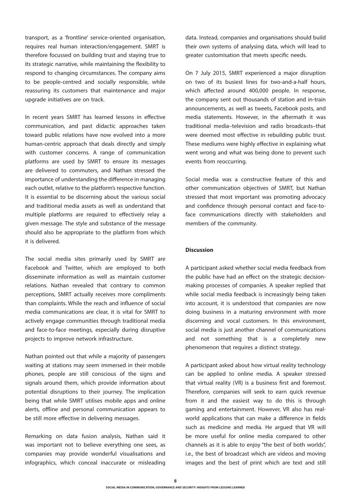transport, as a 'frontline' service-oriented organisation, requires real human interaction/engagement. SMRT is therefore focussed on building trust and staying true to its strategic narrative, while maintaining the flexibility to respond to changing circumstances. The company aims to be people-centred and socially responsible, while reassuring its customers that maintenance and major upgrade initiatives are on track.

In recent years SMRT has learned lessons in effective communication, and past didactic approaches taken toward public relations have now evolved into a more human-centric approach that deals directly and simply with customer concerns. A range of communication platforms are used by SMRT to ensure its messages are delivered to commuters, and Nathan stressed the importance of understanding the difference in managing each outlet, relative to the platform's respective function. It is essential to be discerning about the various social and traditional media assets as well as understand that multiple platforms are required to effectively relay a given message. The style and substance of the message should also be appropriate to the platform from which it is delivered.

The social media sites primarily used by SMRT are Facebook and Twitter, which are employed to both disseminate information as well as maintain customer relations. Nathan revealed that contrary to common perceptions, SMRT actually receives more compliments than complaints. While the reach and influence of social media communications are clear, it is vital for SMRT to actively engage communities through traditional media and face-to-face meetings, especially during disruptive projects to improve network infrastructure.

Nathan pointed out that while a majority of passengers waiting at stations may seem immersed in their mobile phones, people are still conscious of the signs and signals around them, which provide information about potential disruptions to their journey. The implication being that while SMRT utilises mobile apps and online alerts, offline and personal communication appears to be still more effective in delivering messages.

Remarking on data fusion analysis, Nathan said it was important not to believe everything one sees, as companies may provide wonderful visualisations and infographics, which conceal inaccurate or misleading data. Instead, companies and organisations should build their own systems of analysing data, which will lead to greater customisation that meets specific needs.

On 7 July 2015, SMRT experienced a major disruption on two of its busiest lines for two-and-a-half hours, which affected around 400,000 people. In response, the company sent out thousands of station and in-train announcements, as well as tweets, Facebook posts, and media statements. However, in the aftermath it was traditional media–television and radio broadcasts–that were deemed most effective in rebuilding public trust. These mediums were highly effective in explaining what went wrong and what was being done to prevent such events from reoccurring.

Social media was a constructive feature of this and other communication objectives of SMRT, but Nathan stressed that most important was promoting advocacy and confidence through personal contact and face-toface communications directly with stakeholders and members of the community.

#### **Discussion**

A participant asked whether social media feedback from the public have had an effect on the strategic decisionmaking processes of companies. A speaker replied that while social media feedback is increasingly being taken into account, it is understood that companies are now doing business in a maturing environment with more discerning and vocal customers. In this environment, social media is just another channel of communications and not something that is a completely new phenomenon that requires a distinct strategy.

A participant asked about how virtual reality technology can be applied to online media. A speaker stressed that virtual reality (VR) is a business first and foremost. Therefore, companies will seek to earn quick revenue from it and the easiest way to do this is through gaming and entertainment. However, VR also has realworld applications that can make a difference in fields such as medicine and media. He argued that VR will be more useful for online media compared to other channels as it is able to enjoy "the best of both worlds", i.e., the best of broadcast which are videos and moving images and the best of print which are text and still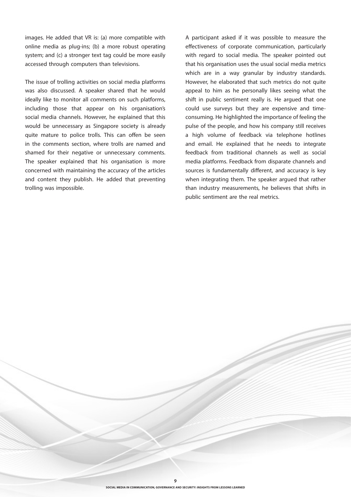images. He added that VR is: (a) more compatible with online media as plug-ins; (b) a more robust operating system; and (c) a stronger text tag could be more easily accessed through computers than televisions.

The issue of trolling activities on social media platforms was also discussed. A speaker shared that he would ideally like to monitor all comments on such platforms, including those that appear on his organisation's social media channels. However, he explained that this would be unnecessary as Singapore society is already quite mature to police trolls. This can offen be seen in the comments section, where trolls are named and shamed for their negative or unnecessary comments. The speaker explained that his organisation is more concerned with maintaining the accuracy of the articles and content they publish. He added that preventing trolling was impossible.

A participant asked if it was possible to measure the effectiveness of corporate communication, particularly with regard to social media. The speaker pointed out that his organisation uses the usual social media metrics which are in a way granular by industry standards. However, he elaborated that such metrics do not quite appeal to him as he personally likes seeing what the shift in public sentiment really is. He argued that one could use surveys but they are expensive and timeconsuming. He highlighted the importance of feeling the pulse of the people, and how his company still receives a high volume of feedback via telephone hotlines and email. He explained that he needs to integrate feedback from traditional channels as well as social media platforms. Feedback from disparate channels and sources is fundamentally different, and accuracy is key when integrating them. The speaker argued that rather than industry measurements, he believes that shifts in public sentiment are the real metrics.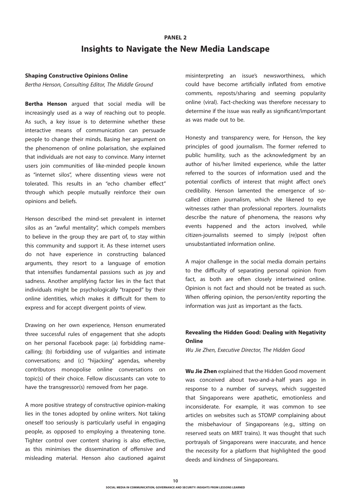# **PANEL 2 Insights to Navigate the New Media Landscape**

#### **Shaping Constructive Opinions Online**

*Bertha Henson, Consulting Editor, The Middle Ground* 

**Bertha Henson** argued that social media will be increasingly used as a way of reaching out to people. As such, a key issue is to determine whether these interactive means of communication can persuade people to change their minds. Basing her argument on the phenomenon of online polarisation, she explained that individuals are not easy to convince. Many internet users join communities of like-minded people known as "internet silos", where dissenting views were not tolerated. This results in an "echo chamber effect" through which people mutually reinforce their own opinions and beliefs.

Henson described the mind-set prevalent in internet silos as an "awful mentality", which compels members to believe in the group they are part of, to stay within this community and support it. As these internet users do not have experience in constructing balanced arguments, they resort to a language of emotion that intensifies fundamental passions such as joy and sadness. Another amplifying factor lies in the fact that individuals might be psychologically "trapped" by their online identities, which makes it difficult for them to express and for accept divergent points of view.

Drawing on her own experience, Henson enumerated three successful rules of engagement that she adopts on her personal Facebook page: (a) forbidding namecalling; (b) forbidding use of vulgarities and intimate conversations; and (c) "hijacking" agendas, whereby contributors monopolise online conversations on topic(s) of their choice. Fellow discussants can vote to have the transgressor(s) removed from her page.

A more positive strategy of constructive opinion-making lies in the tones adopted by online writers. Not taking oneself too seriously is particularly useful in engaging people, as opposed to employing a threatening tone. Tighter control over content sharing is also effective, as this minimises the dissemination of offensive and misleading material. Henson also cautioned against misinterpreting an issue's newsworthiness, which could have become artificially inflated from emotive comments, reposts/sharing and seeming popularity online (viral). Fact-checking was therefore necessary to determine if the issue was really as significant/important as was made out to be.

Honesty and transparency were, for Henson, the key principles of good journalism. The former referred to public humility, such as the acknowledgment by an author of his/her limited experience, while the latter referred to the sources of information used and the potential conflicts of interest that might affect one's credibility. Henson lamented the emergence of socalled citizen journalism, which she likened to eye witnesses rather than professional reporters. Journalists describe the nature of phenomena, the reasons why events happened and the actors involved, while citizen-journalists seemed to simply (re)post often unsubstantiated information online.

A major challenge in the social media domain pertains to the difficulty of separating personal opinion from fact, as both are often closely intertwined online. Opinion is not fact and should not be treated as such. When offering opinion, the person/entity reporting the information was just as important as the facts.

## **Revealing the Hidden Good: Dealing with Negativity Online**

*Wu Jie Zhen, Executive Director, The Hidden Good* 

**Wu Jie Zhen** explained that the Hidden Good movement was conceived about two-and-a-half years ago in response to a number of surveys, which suggested that Singaporeans were apathetic, emotionless and inconsiderate. For example, it was common to see articles on websites such as STOMP complaining about the misbehaviour of Singaporeans (e.g., sitting on reserved seats on MRT trains). It was thought that such portrayals of Singaporeans were inaccurate, and hence the necessity for a platform that highlighted the good deeds and kindness of Singaporeans.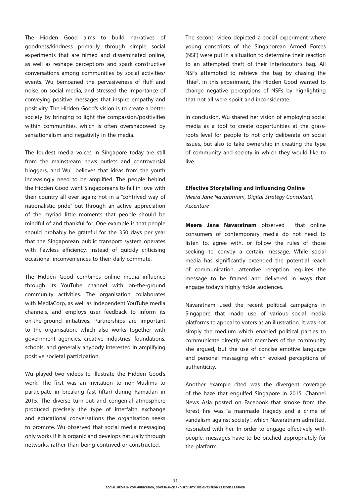The Hidden Good aims to build narratives of goodness/kindness primarily through simple social experiments that are filmed and disseminated online, as well as reshape perceptions and spark constructive conversations among communities by social activities/ events. Wu bemoaned the pervasiveness of fluff and noise on social media, and stressed the importance of conveying positive messages that inspire empathy and positivity. The Hidden Good's vision is to create a better society by bringing to light the compassion/positivities within communities, which is often overshadowed by sensationalism and negativity in the media.

The loudest media voices in Singapore today are still from the mainstream news outlets and controversial bloggers, and Wu believes that ideas from the youth increasingly need to be amplified. The people behind the Hidden Good want Singaporeans to fall in love with their country all over again; not in a "contrived way of nationalistic pride" but through an active appreciation of the myriad little moments that people should be mindful of and thankful for. One example is that people should probably be grateful for the 350 days per year that the Singaporean public transport system operates with flawless efficiency, instead of quickly criticising occasional inconveniences to their daily commute.

The Hidden Good combines online media influence through its YouTube channel with on-the-ground community activities. The organisation collaborates with MediaCorp, as well as independent YouTube media channels, and employs user feedback to inform its on-the-ground initiatives. Partnerships are important to the organisation, which also works together with government agencies, creative industries, foundations, schools, and generally anybody interested in amplifying positive societal participation.

Wu played two videos to illustrate the Hidden Good's work. The first was an invitation to non-Muslims to participate in breaking fast (iftar) during Ramadan in 2015. The diverse turn-out and congenial atmosphere produced precisely the type of interfaith exchange and educational conversations the organisation seeks to promote. Wu observed that social media messaging only works if it is organic and develops naturally through networks, rather than being contrived or constructed.

The second video depicted a social experiment where young conscripts of the Singaporean Armed Forces (NSF) were put in a situation to determine their reaction to an attempted theft of their interlocutor's bag. All NSFs attempted to retrieve the bag by chasing the 'thief'. In this experiment, the Hidden Good wanted to change negative perceptions of NSFs by highlighting that not all were spoilt and inconsiderate.

In conclusion, Wu shared her vision of employing social media as a tool to create opportunities at the grassroots level for people to not only deliberate on social issues, but also to take ownership in creating the type of community and society in which they would like to live.

#### **Effective Storytelling and Influencing Online**

*Meera Jane Navaratnam, Digital Strategy Consultant, Accenture*

**Meera Jane Navaratnam** observed that online consumers of contemporary media do not need to listen to, agree with, or follow the rules of those seeking to convey a certain message. While social media has significantly extended the potential reach of communication, attentive reception requires the message to be framed and delivered in ways that engage today's highly fickle audiences.

Navaratnam used the recent political campaigns in Singapore that made use of various social media platforms to appeal to voters as an illustration. It was not simply the medium which enabled political parties to communicate directly with members of the community she argued, but the use of concise emotive language and personal messaging which evoked perceptions of authenticity.

Another example cited was the divergent coverage of the haze that engulfed Singapore in 2015. Channel News Asia posted on Facebook that smoke from the forest fire was "a manmade tragedy and a crime of vandalism against society", which Navaratnam admitted, resonated with her. In order to engage effectively with people, messages have to be pitched appropriately for the platform.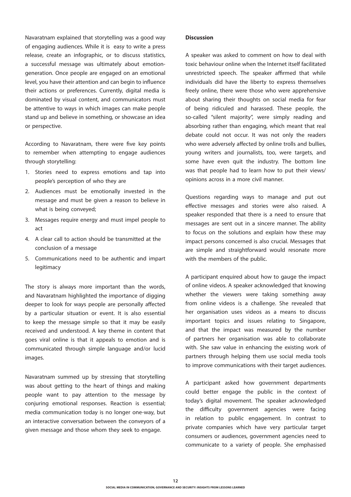Navaratnam explained that storytelling was a good way of engaging audiences. While it is easy to write a press release, create an infographic, or to discuss statistics, a successful message was ultimately about emotiongeneration. Once people are engaged on an emotional level, you have their attention and can begin to influence their actions or preferences. Currently, digital media is dominated by visual content, and communicators must be attentive to ways in which images can make people stand up and believe in something, or showcase an idea or perspective.

According to Navaratnam, there were five key points to remember when attempting to engage audiences through storytelling:

- 1. Stories need to express emotions and tap into people's perception of who they are
- 2. Audiences must be emotionally invested in the message and must be given a reason to believe in what is being conveyed;
- 3. Messages require energy and must impel people to act
- 4. A clear call to action should be transmitted at the conclusion of a message
- 5. Communications need to be authentic and impart legitimacy

The story is always more important than the words, and Navaratnam highlighted the importance of digging deeper to look for ways people are personally affected by a particular situation or event. It is also essential to keep the message simple so that it may be easily received and understood. A key theme in content that goes viral online is that it appeals to emotion and is communicated through simple language and/or lucid images.

Navaratnam summed up by stressing that storytelling was about getting to the heart of things and making people want to pay attention to the message by conjuring emotional responses. Reaction is essential; media communication today is no longer one-way, but an interactive conversation between the conveyors of a given message and those whom they seek to engage.

#### **Discussion**

A speaker was asked to comment on how to deal with toxic behaviour online when the Internet itself facilitated unrestricted speech. The speaker affirmed that while individuals did have the liberty to express themselves freely online, there were those who were apprehensive about sharing their thoughts on social media for fear of being ridiculed and harassed. These people, the so-called "silent majority", were simply reading and absorbing rather than engaging, which meant that real debate could not occur. It was not only the readers who were adversely affected by online trolls and bullies, young writers and journalists, too, were targets, and some have even quit the industry. The bottom line was that people had to learn how to put their views/ opinions across in a more civil manner.

Questions regarding ways to manage and put out effective messages and stories were also raised. A speaker responded that there is a need to ensure that messages are sent out in a sincere manner. The ability to focus on the solutions and explain how these may impact persons concerned is also crucial. Messages that are simple and straightforward would resonate more with the members of the public.

A participant enquired about how to gauge the impact of online videos. A speaker acknowledged that knowing whether the viewers were taking something away from online videos is a challenge. She revealed that her organisation uses videos as a means to discuss important topics and issues relating to Singapore, and that the impact was measured by the number of partners her organisation was able to collaborate with. She saw value in enhancing the existing work of partners through helping them use social media tools to improve communications with their target audiences.

A participant asked how government departments could better engage the public in the context of today's digital movement. The speaker acknowledged the difficulty government agencies were facing in relation to public engagement. In contrast to private companies which have very particular target consumers or audiences, government agencies need to communicate to a variety of people. She emphasised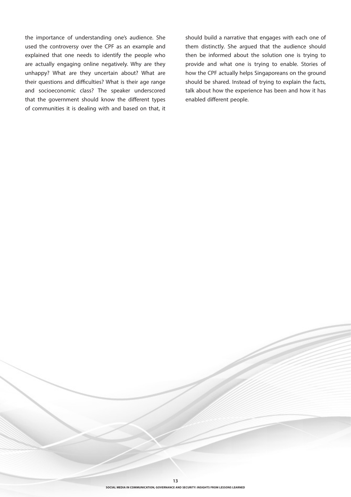the importance of understanding one's audience. She used the controversy over the CPF as an example and explained that one needs to identify the people who are actually engaging online negatively. Why are they unhappy? What are they uncertain about? What are their questions and difficulties? What is their age range and socioeconomic class? The speaker underscored that the government should know the different types of communities it is dealing with and based on that, it

should build a narrative that engages with each one of them distinctly. She argued that the audience should then be informed about the solution one is trying to provide and what one is trying to enable. Stories of how the CPF actually helps Singaporeans on the ground should be shared. Instead of trying to explain the facts, talk about how the experience has been and how it has enabled different people.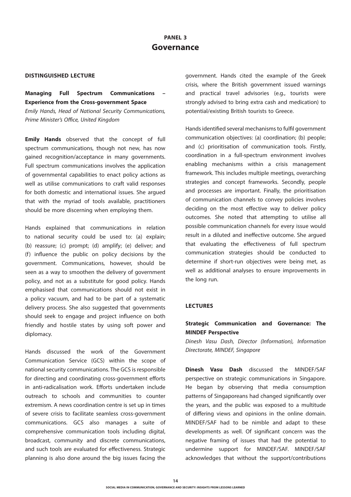#### **DISTINGUISHED LECTURE**

**Managing Full Spectrum Communications – Experience from the Cross-government Space** *Emily Hands, Head of National Security Communications, Prime Minister's Office, United Kingdom*

**Emily Hands** observed that the concept of full spectrum communications, though not new, has now gained recognition/acceptance in many governments. Full spectrum communications involves the application of governmental capabilities to enact policy actions as well as utilise communications to craft valid responses for both domestic and international issues. She argued that with the myriad of tools available, practitioners should be more discerning when employing them.

Hands explained that communications in relation to national security could be used to: (a) explain; (b) reassure; (c) prompt; (d) amplify; (e) deliver; and (f) influence the public on policy decisions by the government. Communications, however, should be seen as a way to smoothen the delivery of government policy, and not as a substitute for good policy. Hands emphasised that communications should not exist in a policy vacuum, and had to be part of a systematic delivery process. She also suggested that governments should seek to engage and project influence on both friendly and hostile states by using soft power and diplomacy.

Hands discussed the work of the Government Communication Service (GCS) within the scope of national security communications. The GCS is responsible for directing and coordinating cross-government efforts in anti-radicalisation work. Efforts undertaken include outreach to schools and communities to counter extremism. A news coordination centre is set up in times of severe crisis to facilitate seamless cross-government communications. GCS also manages a suite of comprehensive communication tools including digital, broadcast, community and discrete communications, and such tools are evaluated for effectiveness. Strategic planning is also done around the big issues facing the

government. Hands cited the example of the Greek crisis, where the British government issued warnings and practical travel advisories (e.g., tourists were strongly advised to bring extra cash and medication) to potential/existing British tourists to Greece.

Hands identified several mechanisms to fulfil government communication objectives: (a) coordination; (b) people; and (c) prioritisation of communication tools. Firstly, coordination in a full-spectrum environment involves enabling mechanisms within a crisis management framework. This includes multiple meetings, overarching strategies and concept frameworks. Secondly, people and processes are important. Finally, the prioritisation of communication channels to convey policies involves deciding on the most effective way to deliver policy outcomes. She noted that attempting to utilise all possible communication channels for every issue would result in a diluted and ineffective outcome. She argued that evaluating the effectiveness of full spectrum communication strategies should be conducted to determine if short-run objectives were being met, as well as additional analyses to ensure improvements in the long run.

#### **LECTURES**

## **Strategic Communication and Governance: The MINDEF Perspective**

*Dinesh Vasu Dash, Director (Information), Information Directorate, MINDEF, Singapore*

**Dinesh Vasu Dash** discussed the MINDEF/SAF perspective on strategic communications in Singapore. He began by observing that media consumption patterns of Singaporeans had changed significantly over the years, and the public was exposed to a multitude of differing views and opinions in the online domain. MINDEF/SAF had to be nimble and adapt to these developments as well. Of significant concern was the negative framing of issues that had the potential to undermine support for MINDEF/SAF. MINDEF/SAF acknowledges that without the support/contributions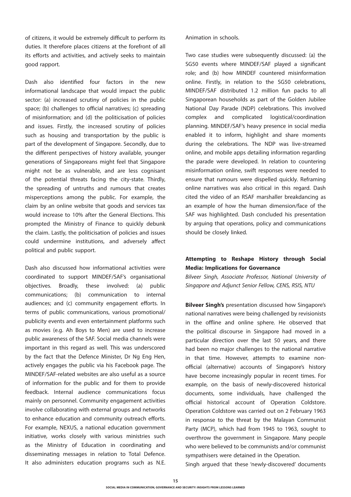of citizens, it would be extremely difficult to perform its duties. It therefore places citizens at the forefront of all its efforts and activities, and actively seeks to maintain good rapport.

Dash also identified four factors in the new informational landscape that would impact the public sector: (a) increased scrutiny of policies in the public space; (b) challenges to official narratives; (c) spreading of misinformation; and (d) the politicisation of policies and issues. Firstly, the increased scrutiny of policies such as housing and transportation by the public is part of the development of Singapore. Secondly, due to the different perspectives of history available, younger generations of Singaporeans might feel that Singapore might not be as vulnerable, and are less cognisant of the potential threats facing the city-state. Thirdly, the spreading of untruths and rumours that creates misperceptions among the public. For example, the claim by an online website that goods and services tax would increase to 10% after the General Elections. This prompted the Ministry of Finance to quickly debunk the claim. Lastly, the politicisation of policies and issues could undermine institutions, and adversely affect political and public support.

Dash also discussed how informational activities were coordinated to support MINDEF/SAF's organisational objectives. Broadly, these involved: (a) public communications; (b) communication to internal audiences; and (c) community engagement efforts. In terms of public communications, various promotional/ publicity events and even entertainment platforms such as movies (e.g. Ah Boys to Men) are used to increase public awareness of the SAF. Social media channels were important in this regard as well. This was underscored by the fact that the Defence Minister, Dr Ng Eng Hen, actively engages the public via his Facebook page. The MINDEF/SAF-related websites are also useful as a source of information for the public and for them to provide feedback. Internal audience communications focus mainly on personnel. Community engagement activities involve collaborating with external groups and networks to enhance education and community outreach efforts. For example, NEXUS, a national education government initiative, works closely with various ministries such as the Ministry of Education in coordinating and disseminating messages in relation to Total Defence. It also administers education programs such as N.E.

Animation in schools.

Two case studies were subsequently discussed: (a) the SG50 events where MINDEF/SAF played a significant role; and (b) how MINDEF countered misinformation online. Firstly, in relation to the SG50 celebrations, MINDEF/SAF distributed 1.2 million fun packs to all Singaporean households as part of the Golden Jubilee National Day Parade (NDP) celebrations. This involved complex and complicated logistical/coordination planning. MINDEF/SAF's heavy presence in social media enabled it to inform, highlight and share moments during the celebrations. The NDP was live-streamed online, and mobile apps detailing information regarding the parade were developed. In relation to countering misinformation online, swift responses were needed to ensure that rumours were dispelled quickly. Reframing online narratives was also critical in this regard. Dash cited the video of an RSAF marshaller breakdancing as an example of how the human dimension/face of the SAF was highlighted. Dash concluded his presentation by arguing that operations, policy and communications should be closely linked.

## **Attempting to Reshape History through Social Media: Implications for Governance**

*Bilveer Singh, Associate Professor, National University of Singapore and Adjunct Senior Fellow, CENS, RSIS, NTU*

**Bilveer Singh's** presentation discussed how Singapore's national narratives were being challenged by revisionists in the offline and online sphere. He observed that the political discourse in Singapore had moved in a particular direction over the last 50 years, and there had been no major challenges to the national narrative in that time. However, attempts to examine nonofficial (alternative) accounts of Singapore's history have become increasingly popular in recent times. For example, on the basis of newly-discovered historical documents, some individuals, have challenged the official historical account of Operation Coldstore. Operation Coldstore was carried out on 2 February 1963 in response to the threat by the Malayan Communist Party (MCP), which had from 1945 to 1963, sought to overthrow the government in Singapore. Many people who were believed to be communists and/or communist sympathisers were detained in the Operation.

Singh argued that these 'newly-discovered' documents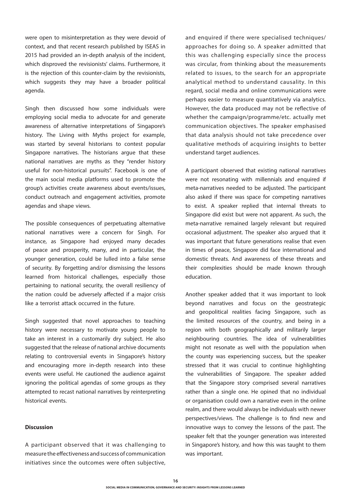were open to misinterpretation as they were devoid of context, and that recent research published by ISEAS in 2015 had provided an in-depth analysis of the incident, which disproved the revisionists' claims. Furthermore, it is the rejection of this counter-claim by the revisionists, which suggests they may have a broader political agenda.

Singh then discussed how some individuals were employing social media to advocate for and generate awareness of alternative interpretations of Singapore's history. The Living with Myths project for example, was started by several historians to contest popular Singapore narratives. The historians argue that these national narratives are myths as they "render history useful for non-historical pursuits". Facebook is one of the main social media platforms used to promote the group's activities create awareness about events/issues, conduct outreach and engagement activities, promote agendas and shape views.

The possible consequences of perpetuating alternative national narratives were a concern for Singh. For instance, as Singapore had enjoyed many decades of peace and prosperity, many, and in particular, the younger generation, could be lulled into a false sense of security. By forgetting and/or dismissing the lessons learned from historical challenges, especially those pertaining to national security, the overall resiliency of the nation could be adversely affected if a major crisis like a terrorist attack occurred in the future.

Singh suggested that novel approaches to teaching history were necessary to motivate young people to take an interest in a customarily dry subject. He also suggested that the release of national archive documents relating to controversial events in Singapore's history and encouraging more in-depth research into these events were useful. He cautioned the audience against ignoring the political agendas of some groups as they attempted to recast national narratives by reinterpreting historical events.

#### **Discussion**

A participant observed that it was challenging to measure the effectiveness and success of communication initiatives since the outcomes were often subjective, and enquired if there were specialised techniques/ approaches for doing so. A speaker admitted that this was challenging especially since the process was circular, from thinking about the measurements related to issues, to the search for an appropriate analytical method to understand causality. In this regard, social media and online communications were perhaps easier to measure quantitatively via analytics. However, the data produced may not be reflective of whether the campaign/programme/etc. actually met communication objectives. The speaker emphasised that data analysis should not take precedence over qualitative methods of acquiring insights to better understand target audiences.

A participant observed that existing national narratives were not resonating with millennials and enquired if meta-narratives needed to be adjusted. The participant also asked if there was space for competing narratives to exist. A speaker replied that internal threats to Singapore did exist but were not apparent. As such, the meta-narrative remained largely relevant but required occasional adjustment. The speaker also argued that it was important that future generations realise that even in times of peace, Singapore did face international and domestic threats. And awareness of these threats and their complexities should be made known through education.

Another speaker added that it was important to look beyond narratives and focus on the geostrategic and geopolitical realities facing Singapore, such as the limited resources of the country, and being in a region with both geographically and militarily larger neighbouring countries. The idea of vulnerabilities might not resonate as well with the population when the county was experiencing success, but the speaker stressed that it was crucial to continue highlighting the vulnerabilities of Singapore. The speaker added that the Singapore story comprised several narratives rather than a single one. He opined that no individual or organisation could own a narrative even in the online realm, and there would always be individuals with newer perspectives/views. The challenge is to find new and innovative ways to convey the lessons of the past. The speaker felt that the younger generation was interested in Singapore's history, and how this was taught to them was important.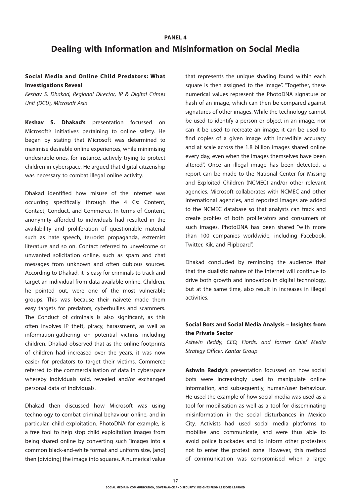# **PANEL 4 Dealing with Information and Misinformation on Social Media**

## **Social Media and Online Child Predators: What Investigations Reveal**

*Keshav S. Dhakad, Regional Director, IP & Digital Crimes Unit (DCU), Microsoft Asia*

**Keshav S. Dhakad's** presentation focussed on Microsoft's initiatives pertaining to online safety. He began by stating that Microsoft was determined to maximise desirable online experiences, while minimising undesirable ones, for instance, actively trying to protect children in cyberspace. He argued that digital citizenship was necessary to combat illegal online activity.

Dhakad identified how misuse of the Internet was occurring specifically through the 4 Cs: Content, Contact, Conduct, and Commerce. In terms of Content, anonymity afforded to individuals had resulted in the availability and proliferation of questionable material such as hate speech, terrorist propaganda, extremist literature and so on. Contact referred to unwelcome or unwanted solicitation online, such as spam and chat messages from unknown and often dubious sources. According to Dhakad, it is easy for criminals to track and target an individual from data available online. Children, he pointed out, were one of the most vulnerable groups. This was because their naiveté made them easy targets for predators, cyberbullies and scammers. The Conduct of criminals is also significant, as this often involves IP theft, piracy, harassment, as well as information-gathering on potential victims including children. Dhakad observed that as the online footprints of children had increased over the years, it was now easier for predators to target their victims. Commerce referred to the commercialisation of data in cyberspace whereby individuals sold, revealed and/or exchanged personal data of individuals.

Dhakad then discussed how Microsoft was using technology to combat criminal behaviour online, and in particular, child exploitation. PhotoDNA for example, is a free tool to help stop child exploitation images from being shared online by converting such "images into a common black-and-white format and uniform size, [and] then [dividing] the image into squares. A numerical value that represents the unique shading found within each square is then assigned to the image". "Together, these numerical values represent the PhotoDNA signature or hash of an image, which can then be compared against signatures of other images. While the technology cannot be used to identify a person or object in an image, nor can it be used to recreate an image, it can be used to find copies of a given image with incredible accuracy and at scale across the 1.8 billion images shared online every day, even when the images themselves have been altered". Once an illegal image has been detected, a report can be made to the National Center for Missing and Exploited Children (NCMEC) and/or other relevant agencies. Microsoft collaborates with NCMEC and other international agencies, and reported images are added to the NCMEC database so that analysts can track and create profiles of both proliferators and consumers of such images. PhotoDNA has been shared "with more than 100 companies worldwide, including Facebook, Twitter, Kik, and Flipboard".

Dhakad concluded by reminding the audience that that the dualistic nature of the Internet will continue to drive both growth and innovation in digital technology, but at the same time, also result in increases in illegal activities.

#### **Social Bots and Social Media Analysis – Insights from the Private Sector**

*Ashwin Reddy, CEO, Fiords, and former Chief Media Strategy Officer, Kantar Group*

**Ashwin Reddy's** presentation focussed on how social bots were increasingly used to manipulate online information, and subsequently, human/user behaviour. He used the example of how social media was used as a tool for mobilisation as well as a tool for disseminating misinformation in the social disturbances in Mexico City. Activists had used social media platforms to mobilise and communicate, and were thus able to avoid police blockades and to inform other protesters not to enter the protest zone. However, this method of communication was compromised when a large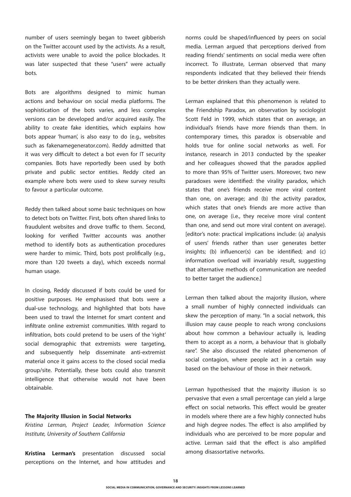number of users seemingly began to tweet gibberish on the Twitter account used by the activists. As a result, activists were unable to avoid the police blockades. It was later suspected that these "users" were actually bots.

Bots are algorithms designed to mimic human actions and behaviour on social media platforms. The sophistication of the bots varies, and less complex versions can be developed and/or acquired easily. The ability to create fake identities, which explains how bots appear 'human', is also easy to do (e.g., websites such as fakenamegenerator.com). Reddy admitted that it was very difficult to detect a bot even for IT security companies. Bots have reportedly been used by both private and public sector entities. Reddy cited an example where bots were used to skew survey results to favour a particular outcome.

Reddy then talked about some basic techniques on how to detect bots on Twitter. First, bots often shared links to fraudulent websites and drove traffic to them. Second, looking for verified Twitter accounts was another method to identify bots as authentication procedures were harder to mimic. Third, bots post prolifically (e.g., more than 120 tweets a day), which exceeds normal human usage.

In closing, Reddy discussed if bots could be used for positive purposes. He emphasised that bots were a dual-use technology, and highlighted that bots have been used to trawl the Internet for smart content and infiltrate online extremist communities. With regard to infiltration, bots could pretend to be users of the 'right' social demographic that extremists were targeting, and subsequently help disseminate anti-extremist material once it gains access to the closed social media group/site. Potentially, these bots could also transmit intelligence that otherwise would not have been obtainable.

#### **The Majority Illusion in Social Networks**

*Kristina Lerman, Project Leader, Information Science Institute, University of Southern California*

**Kristina Lerman's** presentation discussed social perceptions on the Internet, and how attitudes and norms could be shaped/influenced by peers on social media. Lerman argued that perceptions derived from reading friends' sentiments on social media were often incorrect. To illustrate, Lerman observed that many respondents indicated that they believed their friends to be better drinkers than they actually were.

Lerman explained that this phenomenon is related to the Friendship Paradox, an observation by sociologist Scott Feld in 1999, which states that on average, an individual's friends have more friends than them. In contemporary times, this paradox is observable and holds true for online social networks as well. For instance, research in 2013 conducted by the speaker and her colleagues showed that the paradox applied to more than 95% of Twitter users. Moreover, two new paradoxes were identified: the virality paradox, which states that one's friends receive more viral content than one, on average; and (b) the activity paradox, which states that one's friends are more active than one, on average (i.e., they receive more viral content than one, and send out more viral content on average). [editor's note: practical implications include: (a) analysis of users' friends rather than user generates better insights; (b) influencer(s) can be identified; and (c) information overload will invariably result, suggesting that alternative methods of communication are needed to better target the audience.

Lerman then talked about the majority illusion, where a small number of highly connected individuals can skew the perception of many. "In a social network, this illusion may cause people to reach wrong conclusions about how common a behaviour actually is, leading them to accept as a norm, a behaviour that is globally rare". She also discussed the related phenomenon of social contagion, where people act in a certain way based on the behaviour of those in their network.

Lerman hypothesised that the majority illusion is so pervasive that even a small percentage can yield a large effect on social networks. This effect would be greater in models where there are a few highly connected hubs and high degree nodes. The effect is also amplified by individuals who are perceived to be more popular and active. Lerman said that the effect is also amplified among disassortative networks.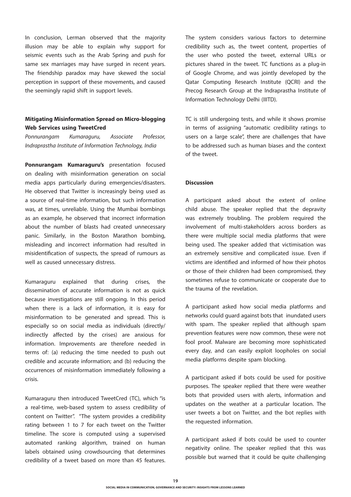In conclusion, Lerman observed that the majority illusion may be able to explain why support for seismic events such as the Arab Spring and push for same sex marriages may have surged in recent years. The friendship paradox may have skewed the social perception in support of these movements, and caused the seemingly rapid shift in support levels.

## **Mitigating Misinformation Spread on Micro-blogging Web Services using TweetCred**

*Ponnurangam Kumaraguru, Associate Professor, Indraprastha Institute of Information Technology, India*

**Ponnurangam Kumaraguru's** presentation focused on dealing with misinformation generation on social media apps particularly during emergencies/disasters. He observed that Twitter is increasingly being used as a source of real-time information, but such information was, at times, unreliable. Using the Mumbai bombings as an example, he observed that incorrect information about the number of blasts had created unnecessary panic. Similarly, in the Boston Marathon bombing, misleading and incorrect information had resulted in misidentification of suspects, the spread of rumours as well as caused unnecessary distress.

Kumaraguru explained that during crises, the dissemination of accurate information is not as quick because investigations are still ongoing. In this period when there is a lack of information, it is easy for misinformation to be generated and spread. This is especially so on social media as individuals (directly/ indirectly affected by the crises) are anxious for information. Improvements are therefore needed in terms of: (a) reducing the time needed to push out credible and accurate information; and (b) reducing the occurrences of misinformation immediately following a crisis.

Kumaraguru then introduced TweetCred (TC), which "is a real-time, web-based system to assess credibility of content on Twitter". "The system provides a credibility rating between 1 to 7 for each tweet on the Twitter timeline. The score is computed using a supervised automated ranking algorithm, trained on human labels obtained using crowdsourcing that determines credibility of a tweet based on more than 45 features. The system considers various factors to determine credibility such as, the tweet content, properties of the user who posted the tweet, external URLs or pictures shared in the tweet. TC functions as a plug-in of Google Chrome, and was jointly developed by the Qatar Computing Research Institute (QCRI) and the Precog Research Group at the Indraprastha Institute of Information Technology Delhi (IIITD).

TC is still undergoing tests, and while it shows promise in terms of assigning "automatic credibility ratings to users on a large scale", there are challenges that have to be addressed such as human biases and the context of the tweet.

#### **Discussion**

A participant asked about the extent of online child abuse. The speaker replied that the depravity was extremely troubling. The problem required the involvement of multi-stakeholders across borders as there were multiple social media platforms that were being used. The speaker added that victimisation was an extremely sensitive and complicated issue. Even if victims are identified and informed of how their photos or those of their children had been compromised, they sometimes refuse to communicate or cooperate due to the trauma of the revelation.

A participant asked how social media platforms and networks could guard against bots that inundated users with spam. The speaker replied that although spam prevention features were now common, these were not fool proof. Malware are becoming more sophisticated every day, and can easily exploit loopholes on social media platforms despite spam blocking.

A participant asked if bots could be used for positive purposes. The speaker replied that there were weather bots that provided users with alerts, information and updates on the weather at a particular location. The user tweets a bot on Twitter, and the bot replies with the requested information.

A participant asked if bots could be used to counter negativity online. The speaker replied that this was possible but warned that it could be quite challenging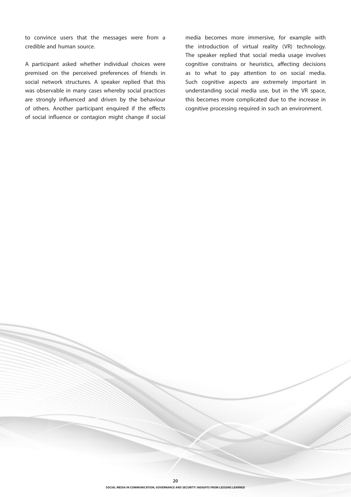to convince users that the messages were from a credible and human source.

A participant asked whether individual choices were premised on the perceived preferences of friends in social network structures. A speaker replied that this was observable in many cases whereby social practices are strongly influenced and driven by the behaviour of others. Another participant enquired if the effects of social influence or contagion might change if social media becomes more immersive, for example with the introduction of virtual reality (VR) technology. The speaker replied that social media usage involves cognitive constrains or heuristics, affecting decisions as to what to pay attention to on social media. Such cognitive aspects are extremely important in understanding social media use, but in the VR space, this becomes more complicated due to the increase in cognitive processing required in such an environment.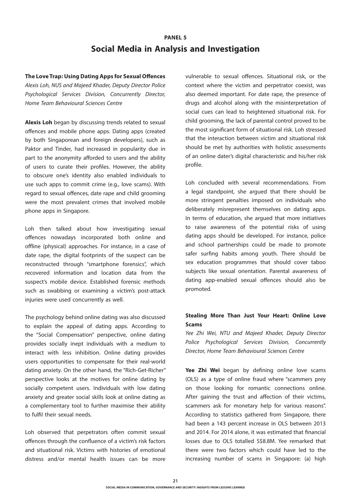# **PANEL 5 Social Media in Analysis and Investigation**

#### **The Love Trap: Using Dating Apps for Sexual Offences**

*Alexis Loh, NUS and Majeed Khader, Deputy Director Police Psychological Services Division, Concurrently Director, Home Team Behavioural Sciences Centre*

**Alexis Loh** began by discussing trends related to sexual offences and mobile phone apps. Dating apps (created by both Singaporean and foreign developers), such as Paktor and Tinder, had increased in popularity due in part to the anonymity afforded to users and the ability of users to curate their profiles. However, the ability to obscure one's identity also enabled individuals to use such apps to commit crime (e.g., love scams). With regard to sexual offences, date rape and child grooming were the most prevalent crimes that involved mobile phone apps in Singapore.

Loh then talked about how investigating sexual offences nowadays incorporated both online and offline (physical) approaches. For instance, in a case of date rape, the digital footprints of the suspect can be reconstructed through "smartphone forensics", which recovered information and location data from the suspect's mobile device. Established forensic methods such as swabbing or examining a victim's post-attack injuries were used concurrently as well.

The psychology behind online dating was also discussed to explain the appeal of dating apps. According to the "Social Compensation" perspective, online dating provides socially inept individuals with a medium to interact with less inhibition. Online dating provides users opportunities to compensate for their real-world dating anxiety. On the other hand, the "Rich-Get-Richer" perspective looks at the motives for online dating by socially competent users. Individuals with low dating anxiety and greater social skills look at online dating as a complementary tool to further maximise their ability to fulfil their sexual needs.

Loh observed that perpetrators often commit sexual offences through the confluence of a victim's risk factors and situational risk. Victims with histories of emotional distress and/or mental health issues can be more vulnerable to sexual offences. Situational risk, or the context where the victim and perpetrator coexist, was also deemed important. For date rape, the presence of drugs and alcohol along with the misinterpretation of social cues can lead to heightened situational risk. For child grooming, the lack of parental control proved to be the most significant form of situational risk. Loh stressed that the interaction between victim and situational risk should be met by authorities with holistic assessments of an online dater's digital characteristic and his/her risk profile.

Loh concluded with several recommendations. From a legal standpoint, she argued that there should be more stringent penalties imposed on individuals who deliberately misrepresent themselves on dating apps. In terms of education, she argued that more initiatives to raise awareness of the potential risks of using dating apps should be developed. For instance, police and school partnerships could be made to promote safer surfing habits among youth. There should be sex education programmes that should cover taboo subjects like sexual orientation. Parental awareness of dating app-enabled sexual offences should also be promoted.

## **Stealing More Than Just Your Heart: Online Love Scams**

*Yee Zhi Wei, NTU and Majeed Khader, Deputy Director Police Psychological Services Division, Concurrently Director, Home Team Behavioural Sciences Centre*

**Yee Zhi Wei** began by defining online love scams (OLS) as a type of online fraud where "scammers prey on those looking for romantic connections online. After gaining the trust and affection of their victims, scammers ask for monetary help for various reasons". According to statistics gathered from Singapore, there had been a 143 percent increase in OLS between 2013 and 2014. For 2014 alone, it was estimated that financial losses due to OLS totalled S\$8.8M. Yee remarked that there were two factors which could have led to the increasing number of scams in Singapore: (a) high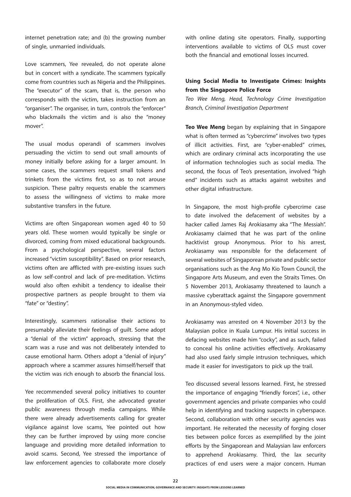internet penetration rate; and (b) the growing number of single, unmarried individuals.

Love scammers, Yee revealed, do not operate alone but in concert with a syndicate. The scammers typically come from countries such as Nigeria and the Philippines. The "executor" of the scam, that is, the person who corresponds with the victim, takes instruction from an "organiser". The organiser, in turn, controls the "enforcer" who blackmails the victim and is also the "money mover".

The usual modus operandi of scammers involves persuading the victim to send out small amounts of money initially before asking for a larger amount. In some cases, the scammers request small tokens and trinkets from the victims first, so as to not arouse suspicion. These paltry requests enable the scammers to assess the willingness of victims to make more substantive transfers in the future.

Victims are often Singaporean women aged 40 to 50 years old. These women would typically be single or divorced, coming from mixed educational backgrounds. From a psychological perspective, several factors increased "victim susceptibility". Based on prior research, victims often are afflicted with pre-existing issues such as low self-control and lack of pre-meditation. Victims would also often exhibit a tendency to idealise their prospective partners as people brought to them via "fate" or "destiny".

Interestingly, scammers rationalise their actions to presumably alleviate their feelings of guilt. Some adopt a "denial of the victim" approach, stressing that the scam was a ruse and was not deliberately intended to cause emotional harm. Others adopt a "denial of injury" approach where a scammer assures himself/herself that the victim was rich enough to absorb the financial loss.

Yee recommended several policy initiatives to counter the proliferation of OLS. First, she advocated greater public awareness through media campaigns. While there were already advertisements calling for greater vigilance against love scams, Yee pointed out how they can be further improved by using more concise language and providing more detailed information to avoid scams. Second, Yee stressed the importance of law enforcement agencies to collaborate more closely with online dating site operators. Finally, supporting interventions available to victims of OLS must cover both the financial and emotional losses incurred.

## **Using Social Media to Investigate Crimes: Insights from the Singapore Police Force**

*Teo Wee Meng, Head, Technology Crime Investigation Branch, Criminal Investigation Department*

**Teo Wee Meng** began by explaining that in Singapore what is often termed as "cybercrime" involves two types of illicit activities. First, are "cyber-enabled" crimes, which are ordinary criminal acts incorporating the use of information technologies such as social media. The second, the focus of Teo's presentation, involved "high end" incidents such as attacks against websites and other digital infrastructure.

In Singapore, the most high-profile cybercrime case to date involved the defacement of websites by a hacker called James Raj Arokiasamy aka "The Messiah". Arokiasamy claimed that he was part of the online hacktivist group Anonymous. Prior to his arrest, Arokiasamy was responsible for the defacement of several websites of Singaporean private and public sector organisations such as the Ang Mo Kio Town Council, the Singapore Arts Museum, and even the Straits Times. On 5 November 2013, Arokiasamy threatened to launch a massive cyberattack against the Singapore government in an Anonymous-styled video.

Arokiasamy was arrested on 4 November 2013 by the Malaysian police in Kuala Lumpur. His initial success in defacing websites made him "cocky", and as such, failed to conceal his online activities effectively. Arokiasamy had also used fairly simple intrusion techniques, which made it easier for investigators to pick up the trail.

Teo discussed several lessons learned. First, he stressed the importance of engaging "friendly forces", i.e., other government agencies and private companies who could help in identifying and tracking suspects in cyberspace. Second, collaboration with other security agencies was important. He reiterated the necessity of forging closer ties between police forces as exemplified by the joint efforts by the Singaporean and Malaysian law enforcers to apprehend Arokiasamy. Third, the lax security practices of end users were a major concern. Human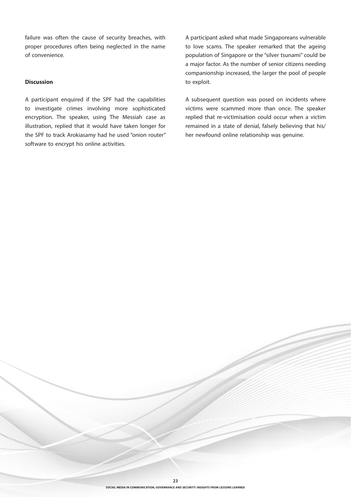failure was often the cause of security breaches, with proper procedures often being neglected in the name of convenience.

#### **Discussion**

A participant enquired if the SPF had the capabilities to investigate crimes involving more sophisticated encryption. The speaker, using The Messiah case as illustration, replied that it would have taken longer for the SPF to track Arokiasamy had he used "onion router" software to encrypt his online activities.

A participant asked what made Singaporeans vulnerable to love scams. The speaker remarked that the ageing population of Singapore or the "silver tsunami" could be a major factor. As the number of senior citizens needing companionship increased, the larger the pool of people to exploit.

A subsequent question was posed on incidents where victims were scammed more than once. The speaker replied that re-victimisation could occur when a victim remained in a state of denial, falsely believing that his/ her newfound online relationship was genuine.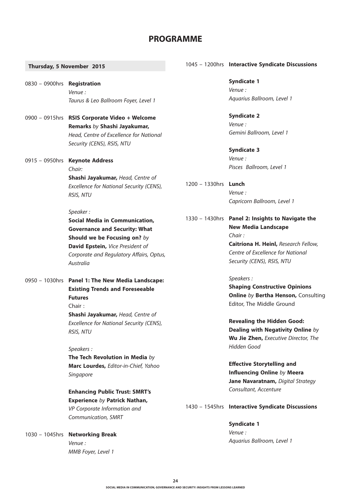## **PROGRAMME**

#### **Thursday, 5 November 2015**

0830 – 0900hrs **Registration** *Venue : Taurus & Leo Ballroom Foyer, Level 1*

- 0900 0915hrs **RSIS Corporate Video + Welcome Remarks** *by* **Shashi Jayakumar,** *Head, Centre of Excellence for National Security (CENS), RSIS, NTU*
- 0915 0950hrs **Keynote Address** *Chair:* **Shashi Jayakumar,** *Head, Centre of Excellence for National Security (CENS), RSIS, NTU*

#### *Speaker :*

**Social Media in Communication, Governance and Security: What Should we be Focusing on?** *by*  **David Epstein,** *Vice President of Corporate and Regulatory Affairs, Optus, Australia* 

0950 – 1030hrs **Panel 1: The New Media Landscape: Existing Trends and Foreseeable Futures** Chair :

> **Shashi Jayakumar,** *Head, Centre of Excellence for National Security (CENS), RSIS, NTU*

*Speakers :* 

**The Tech Revolution in Media** *by* **Marc Lourdes,** *Editor-in-Chief, Yahoo Singapore*

**Enhancing Public Trust: SMRT's Experience** *by* **Patrick Nathan,**  *VP Corporate Information and Communication, SMRT*

1030 – 1045hrs **Networking Break** *Venue : MMB Foyer, Level 1*

#### 1045 – 1200hrs **Interactive Syndicate Discussions**

**Syndicate 1** *Venue : Aquarius Ballroom, Level 1*

**Syndicate 2** *Venue : Gemini Ballroom, Level 1*

**Syndicate 3** *Venue : Pisces Ballroom, Level 1*

- 1200 1330hrs **Lunch** *Venue : Capricorn Ballroom, Level 1*
- 1330 1430hrs **Panel 2: Insights to Navigate the New Media Landscape** *Chair :*  **Caitríona H. Heinl,** *Research Fellow,*

*Centre of Excellence for National Security (CENS), RSIS, NTU* 

#### *Speakers :*

**Shaping Constructive Opinions Online** *by* **Bertha Henson,** Consulting Editor, The Middle Ground

**Revealing the Hidden Good: Dealing with Negativity Online** *by* **Wu Jie Zhen,** *Executive Director, The Hidden Good*

**Effective Storytelling and Influencing Online** *by* **Meera Jane Navaratnam,** *Digital Strategy Consultant, Accenture*

#### 1430 – 1545hrs **Interactive Syndicate Discussions**

**Syndicate 1** *Venue : Aquarius Ballroom, Level 1*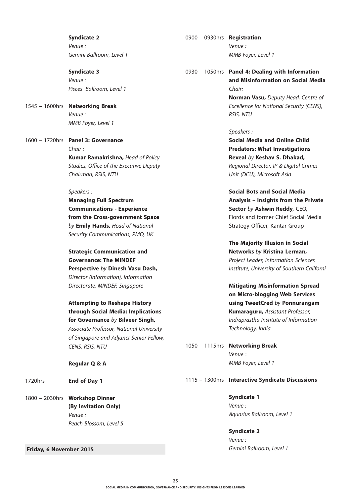**Syndicate 2** *Venue : Gemini Ballroom, Level 1*

**Syndicate 3** *Venue : Pisces Ballroom, Level 1*

1545 – 1600hrs **Networking Break** *Venue : MMB Foyer, Level 1*

1600 – 1720hrs **Panel 3: Governance** *Chair :*  **Kumar Ramakrishna,** *Head of Policy Studies, Office of the Executive Deputy Chairman, RSIS, NTU*

#### *Speakers :*

**Managing Full Spectrum Communications - Experience from the Cross-government Space**  *by* **Emily Hands,** *Head of National Security Communications, PMO, UK* 

## **Strategic Communication and Governance: The MINDEF Perspective** *by* **Dinesh Vasu Dash,**  *Director (Information), Information Directorate, MINDEF, Singapore*

## **Attempting to Reshape History through Social Media: Implications for Governance** *by* **Bilveer Singh,**  *Associate Professor, National University of Singapore and Adjunct Senior Fellow,*

*CENS, RSIS, NTU*

**Regular Q & A**

1720hrs **End of Day 1**

1800 – 2030hrs **Workshop Dinner (By Invitation Only)** *Venue : Peach Blossom, Level 5*

 **Friday, 6 November 2015**

0900 – 0930hrs **Registration** *Venue : MMB Foyer, Level 1*

0930 – 1050hrs **Panel 4: Dealing with Information and Misinformation on Social Media**  *Chair:*

> **Norman Vasu,** *Deputy Head, Centre of Excellence for National Security (CENS), RSIS, NTU*

#### *Speakers :*

**Social Media and Online Child Predators: What Investigations Reveal** *by* **Keshav S. Dhakad,** *Regional Director, IP & Digital Crimes Unit (DCU), Microsoft Asia*

**Social Bots and Social Media Analysis – Insights from the Private Sector** *by* **Ashwin Reddy,** CEO, Fiords and former Chief Social Media Strategy Officer, Kantar Group

**The Majority Illusion in Social Networks** *by* **Kristina Lerman,**  *Project Leader, Information Sciences Institute, University of Southern Californi*

**Mitigating Misinformation Spread on Micro-blogging Web Services using TweetCred** *by* **Ponnurangam Kumaraguru,** *Assistant Professor, Indraprastha Institute of Information Technology, India*

1050 – 1115hrs **Networking Break**  *Venue* : *MMB Foyer, Level 1* 

#### 1115 – 1300hrs **Interactive Syndicate Discussions**

**Syndicate 1** *Venue : Aquarius Ballroom, Level 1*

**Syndicate 2** *Venue : Gemini Ballroom, Level 1*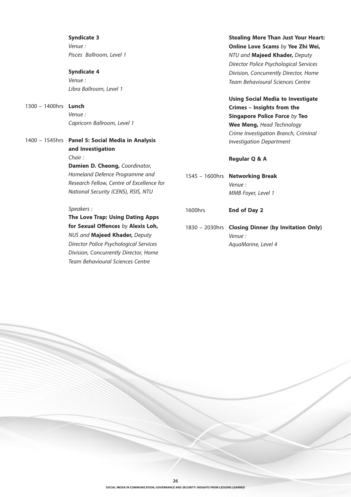**Syndicate 3** *Venue : Pisces Ballroom, Level 1*

**Syndicate 4** *Venue : Libra Ballroom, Level 1*

1300 – 1400hrs **Lunch**  *Venue : Capricorn Ballroom, Level 1*

1400 – 1545hrs **Panel 5: Social Media in Analysis and Investigation** *Chair :*  **Damien D. Cheong,** *Coordinator, Homeland Defence Programme and Research Fellow, Centre of Excellence for National Security (CENS), RSIS, NTU* 

*Speakers :* 

**The Love Trap: Using Dating Apps for Sexual Offences** *by* **Alexis Loh,** *NUS and* **Majeed Khader,** *Deputy Director Police Psychological Services Division, Concurrently Director, Home Team Behavioural Sciences Centre*

**Stealing More Than Just Your Heart: Online Love Scams** *by* **Yee Zhi Wei,**  *NTU and* **Majeed Khader,** *Deputy Director Police Psychological Services Division, Concurrently Director, Home Team Behavioural Sciences Centre*

**Using Social Media to Investigate Crimes – Insights from the Singapore Police Force** *by* **Teo Wee Meng,** *Head Technology Crime Investigation Branch, Criminal Investigation Department*

#### **Regular Q & A**

- 1545 1600hrs **Networking Break** *Venue : MMB Foyer, Level 1*
- 1600hrs **End of Day 2**
- 1830 2030hrs **Closing Dinner (by Invitation Only)** *Venue : AquaMarine, Level 4*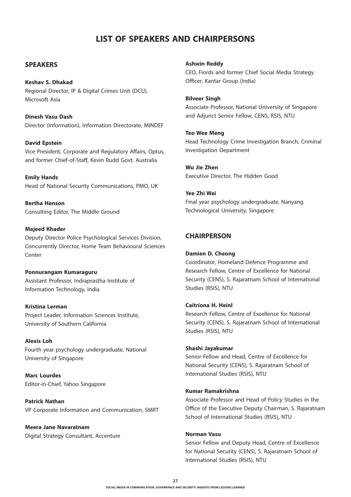# **LIST OF SPEAKERS AND CHAIRPERSONS**

#### **SPEAKERS**

## **Keshav S. Dhakad** Regional Director, IP & Digital Crimes Unit (DCU), Microsoft Asia

**Dinesh Vasu Dash** Director (Information), Information Directorate, MINDEF

**David Epstein** Vice President, Corporate and Regulatory Affairs, Optus, and former Chief-of-Staff, Kevin Rudd Govt. Australia

**Emily Hands** Head of National Security Communications, PMO, UK

**Bertha Henson** Consulting Editor, The Middle Ground

#### **Majeed Khader**

Deputy Director Police Psychological Services Division, Concurrently Director, Home Team Behavioural Sciences Center

#### **Ponnurangam Kumaraguru**

Assistant Professor, Indraprastha Institute of Information Technology, India

#### **Kristina Lerman**

Project Leader, Information Sciences Institute, University of Southern California

#### **Alexis Loh**

Fourth year psychology undergraduate, National University of Singapore

**Marc Lourdes** Editor-in-Chief, Yahoo Singapore

**Patrick Nathan** VP Corporate Information and Communication, SMRT

**Meera Jane Navaratnam** Digital Strategy Consultant, Accenture **Ashwin Reddy**

CEO, Fiords and former Chief Social Media Strategy Officer, Kantar Group (India)

#### **Bilveer Singh**

Associate Professor, National University of Singapore and Adjunct Senior Fellow, CENS, RSIS, NTU

#### **Teo Wee Meng**

Head Technology Crime Investigation Branch, Criminal Investigation Department

**Wu Jie Zhen** Executive Director, The Hidden Good

## **Yee Zhi Wei**

Final year psychology undergraduate, Nanyang Technological University, Singapore

## **CHAIRPERSON**

#### **Damien D. Cheong**

Coordinator, Homeland Defence Programme and Research Fellow, Centre of Excellence for National Security (CENS), S. Rajaratnam School of International Studies (RSIS), NTU

#### **Caitríona H. Heinl**

Research Fellow, Centre of Excellence for National Security (CENS), S. Rajaratnam School of International Studies (RSIS), NTU

#### **Shashi Jayakumar**

Senior Fellow and Head, Centre of Excellence for National Security (CENS), S. Rajaratnam School of International Studies (RSIS), NTU

#### **Kumar Ramakrishna**

Associate Professor and Head of Policy Studies in the Office of the Executive Deputy Chairman, S. Rajaratnam School of International Studies (RSIS), NTU

#### **Norman Vasu**

Senior Fellow and Deputy Head, Centre of Excellence for National Security (CENS), S. Rajaratnam School of International Studies (RSIS), NTU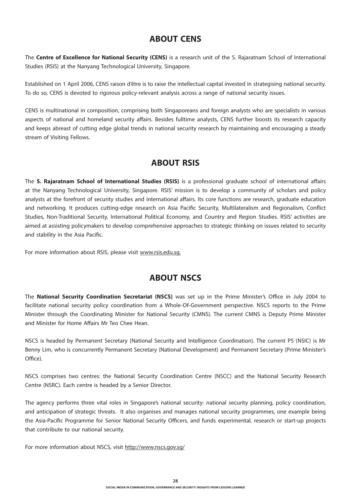## **ABOUT CENS**

The **Centre of Excellence for National Security (CENS)** is a research unit of the S. Rajaratnam School of International Studies (RSIS) at the Nanyang Technological University, Singapore.

Established on 1 April 2006, CENS raison d'être is to raise the intellectual capital invested in strategising national security. To do so, CENS is devoted to rigorous policy-relevant analysis across a range of national security issues.

CENS is multinational in composition, comprising both Singaporeans and foreign analysts who are specialists in various aspects of national and homeland security affairs. Besides fulltime analysts, CENS further boosts its research capacity and keeps abreast of cutting edge global trends in national security research by maintaining and encouraging a steady stream of Visiting Fellows.

# **ABOUT RSIS**

The **S. Rajaratnam School of International Studies (RSIS)** is a professional graduate school of international affairs at the Nanyang Technological University, Singapore. RSIS' mission is to develop a community of scholars and policy analysts at the forefront of security studies and international affairs. Its core functions are research, graduate education and networking. It produces cutting-edge research on Asia Pacific Security, Multilateralism and Regionalism, Conflict Studies, Non-Traditional Security, International Political Economy, and Country and Region Studies. RSIS' activities are aimed at assisting policymakers to develop comprehensive approaches to strategic thinking on issues related to security and stability in the Asia Pacific.

For more information about RSIS, please visit www.rsis.edu.sg.

# **ABOUT NSCS**

The **National Security Coordination Secretariat (NSCS)** was set up in the Prime Minister's Office in July 2004 to facilitate national security policy coordination from a Whole-Of-Government perspective. NSCS reports to the Prime Minister through the Coordinating Minister for National Security (CMNS). The current CMNS is Deputy Prime Minister and Minister for Home Affairs Mr Teo Chee Hean.

NSCS is headed by Permanent Secretary (National Security and Intelligence Coordination). The current PS (NSIC) is Mr Benny Lim, who is concurrently Permanent Secretary (National Development) and Permanent Secretary (Prime Minister's Office).

NSCS comprises two centres: the National Security Coordination Centre (NSCC) and the National Security Research Centre (NSRC). Each centre is headed by a Senior Director.

The agency performs three vital roles in Singapore's national security: national security planning, policy coordination, and anticipation of strategic threats. It also organises and manages national security programmes, one example being the Asia-Pacific Programme for Senior National Security Officers, and funds experimental, research or start-up projects that contribute to our national security.

For more information about NSCS, visit http://www.nscs.gov.sg/